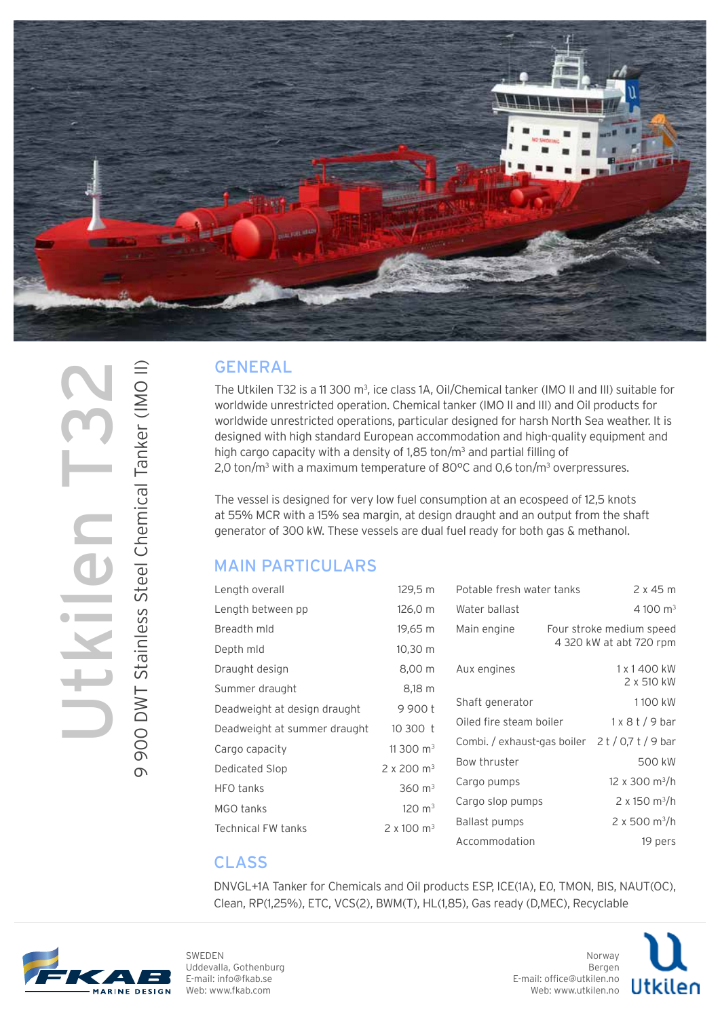

# 9 900 DWT Stainless Steel Chemical Tanker (IMO II) 9 900 DWT Stainless Steel Chemical Tanker (IMO II) Utkilen T32

#### GENERAL

The Utkilen T32 is a 11 300 m<sup>3</sup>, ice class 1A, Oil/Chemical tanker (IMO II and III) suitable for worldwide unrestricted operation. Chemical tanker (IMO II and III) and Oil products for worldwide unrestricted operations, particular designed for harsh North Sea weather. It is designed with high standard European accommodation and high-quality equipment and high cargo capacity with a density of  $1,85$  ton/m<sup>3</sup> and partial filling of 2,0 ton/m<sup>3</sup> with a maximum temperature of 80°C and 0,6 ton/m<sup>3</sup> overpressures.

The vessel is designed for very low fuel consumption at an ecospeed of 12,5 knots at 55% MCR with a 15% sea margin, at design draught and an output from the shaft generator of 300 kW. These vessels are dual fuel ready for both gas & methanol.

### MAIN PARTICULARS

| Length overall               | 129,5 m                       | Potable fresh water tanks   |                          | 2x45m                            |
|------------------------------|-------------------------------|-----------------------------|--------------------------|----------------------------------|
| Length between pp            | 126,0 m                       | Water ballast               |                          | 4 100 $m3$                       |
| Breadth mld                  | 19,65 m                       | Main engine                 | Four stroke medium speed |                                  |
| Depth mld                    | 10,30 m                       |                             |                          | 4 320 kW at abt 720 rpm          |
| Draught design               | 8,00 m                        | Aux engines                 |                          | 1 x 1 400 kW                     |
| Summer draught               | 8,18 m                        |                             |                          | 2 x 510 kW                       |
| Deadweight at design draught | 9 900 t                       | Shaft generator             |                          | 1100 kW                          |
| Deadweight at summer draught | 10 300 t                      | Oiled fire steam boiler     |                          | $1 \times 8$ t / 9 bar           |
| Cargo capacity               | 11 300 $m3$                   | Combi. / exhaust-gas boiler |                          | $2t/0.7t/9$ bar                  |
| Dedicated Slop               | $2 \times 200$ m <sup>3</sup> | Bow thruster                |                          | 500 kW                           |
| <b>HFO</b> tanks             | $360 \; \text{m}^3$           | Cargo pumps                 |                          | $12 \times 300 \text{ m}^3/h$    |
| MGO tanks                    | $120 \text{ m}^3$             | Cargo slop pumps            |                          | 2 x 150 m <sup>3</sup> /h        |
| <b>Technical FW tanks</b>    | $2 \times 100 \text{ m}^3$    | Ballast pumps               |                          | $2 \times 500$ m <sup>3</sup> /h |
|                              |                               | Accommodation               |                          | 19 pers                          |

### CLASS

DNVGL+1A Tanker for Chemicals and Oil products ESP, ICE(1A), E0, TMON, BIS, NAUT(OC), Clean, RP(1,25%), ETC, VCS(2), BWM(T), HL(1,85), Gas ready (D,MEC), Recyclable



SWEDEN Uddevalla, Gothenburg E-mail: info@fkab.se Web: www.fkab.com

Norway Bergen E-mail: office@utkilen.no Web: www.utkilen.no